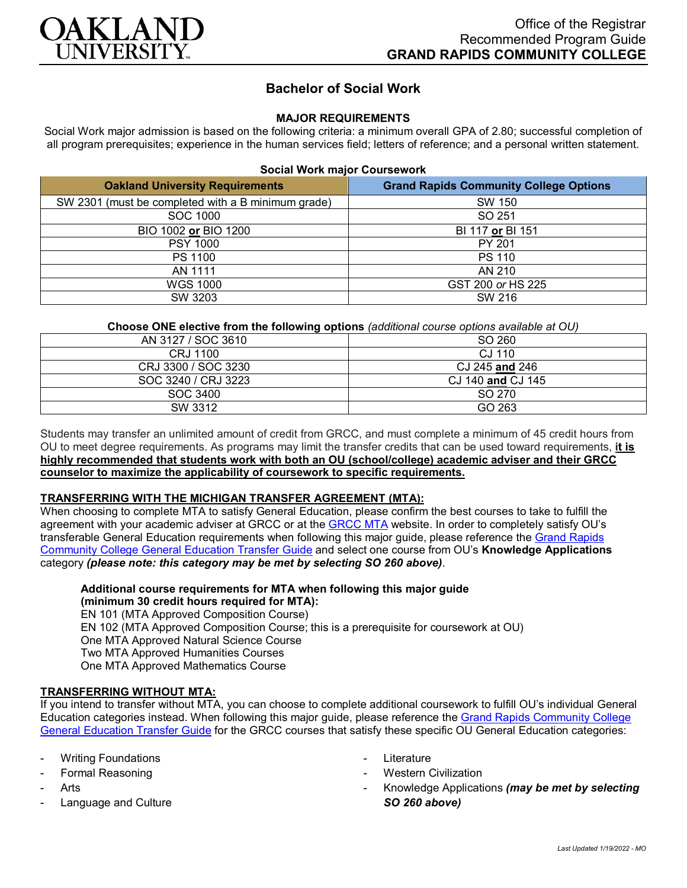

# **Bachelor of Social Work**

# **MAJOR REQUIREMENTS**

Social Work major admission is based on the following criteria: a minimum overall GPA of 2.80; successful completion of all program prerequisites; experience in the human services field; letters of reference; and a personal written statement.

#### **Social Work major Coursework**

| <b>Oakland University Requirements</b>             | <b>Grand Rapids Community College Options</b> |
|----------------------------------------------------|-----------------------------------------------|
| SW 2301 (must be completed with a B minimum grade) | SW 150                                        |
| SOC 1000                                           | SO 251                                        |
| BIO 1002 or BIO 1200                               | BI 117 or BI 151                              |
| <b>PSY 1000</b>                                    | PY 201                                        |
| PS 1100                                            | <b>PS 110</b>                                 |
| AN 1111                                            | AN 210                                        |
| <b>WGS 1000</b>                                    | GST 200 or HS 225                             |
| SW 3203                                            | SW 216                                        |

## **Choose ONE elective from the following options** *(additional course options available at OU)*

| AN 3127 / SOC 3610  | SO 260            |
|---------------------|-------------------|
| CRJ 1100            | CJ 110            |
| CRJ 3300 / SOC 3230 | CJ 245 and 246    |
| SOC 3240 / CRJ 3223 | CJ 140 and CJ 145 |
| SOC 3400            | SO 270            |
| SW 3312             | GO 263            |

Students may transfer an unlimited amount of credit from GRCC, and must complete a minimum of 45 credit hours from OU to meet degree requirements. As programs may limit the transfer credits that can be used toward requirements, **it is highly recommended that students work with both an OU (school/college) academic adviser and their GRCC counselor to maximize the applicability of coursework to specific requirements.**

## **TRANSFERRING WITH THE MICHIGAN TRANSFER AGREEMENT (MTA):**

When choosing to complete MTA to satisfy General Education, please confirm the best courses to take to fulfill the agreement with your academic adviser at GRCC or at the [GRCC MTA](https://catalog.grcc.edu/content.php?catoid=45&navoid=3401&hl=Michigan+Transfer+Agreement&returnto=search) website. In order to completely satisfy OU's transferable General Education requirements when following this major guide, please reference the [Grand Rapids](https://www.oakland.edu/Assets/Oakland/program-guides/grand-rapids-community-college/university-general-education-requirements/Grand%20Rapids%20Gen%20Ed.pdf)  [Community College General Education Transfer Guide](https://www.oakland.edu/Assets/Oakland/program-guides/grand-rapids-community-college/university-general-education-requirements/Grand%20Rapids%20Gen%20Ed.pdf) and select one course from OU's **Knowledge Applications** category *(please note: this category may be met by selecting SO 260 above)*.

**Additional course requirements for MTA when following this major guide (minimum 30 credit hours required for MTA):** EN 101 (MTA Approved Composition Course) EN 102 (MTA Approved Composition Course; this is a prerequisite for coursework at OU) One MTA Approved Natural Science Course Two MTA Approved Humanities Courses One MTA Approved Mathematics Course

## **TRANSFERRING WITHOUT MTA:**

If you intend to transfer without MTA, you can choose to complete additional coursework to fulfill OU's individual General Education categories instead. When following this major guide, please reference the [Grand Rapids Community College](https://www.oakland.edu/Assets/Oakland/program-guides/grand-rapids-community-college/university-general-education-requirements/Grand%20Rapids%20Gen%20Ed.pdf)  [General Education Transfer Guide](https://www.oakland.edu/Assets/Oakland/program-guides/grand-rapids-community-college/university-general-education-requirements/Grand%20Rapids%20Gen%20Ed.pdf) for the GRCC courses that satisfy these specific OU General Education categories:

- **Writing Foundations**
- Formal Reasoning
- **Arts**
- Language and Culture
- Literature
- **Western Civilization**
- Knowledge Applications *(may be met by selecting SO 260 above)*